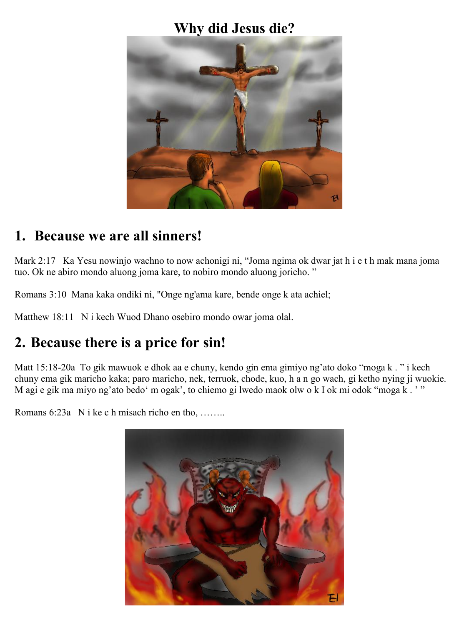#### **Why did Jesus die?**



# **1. Because we are all sinners!**

Mark 2:17 Ka Yesu nowinjo wachno to now achonigi ni, "Joma ngima ok dwar jat h i e t h mak mana joma tuo. Ok ne abiro mondo aluong joma kare, to nobiro mondo aluong joricho. "

Romans 3:10 Mana kaka ondiki ni, "Onge ng'ama kare, bende onge k ata achiel;

Matthew 18:11 N i kech Wuod Dhano osebiro mondo owar joma olal.

# **2. Because there is a price for sin!**

Matt 15:18-20a To gik mawuok e dhok aa e chuny, kendo gin ema gimiyo ng'ato doko "moga k . " i kech chuny ema gik maricho kaka; paro maricho, nek, terruok, chode, kuo, h a n go wach, gi ketho nying ji wuokie. M agi e gik ma miyo ng'ato bedo' m ogak', to chiemo gi lwedo maok olw o k I ok mi odok "moga k . ' "

Romans 6:23a N i ke c h misach richo en tho, ……..

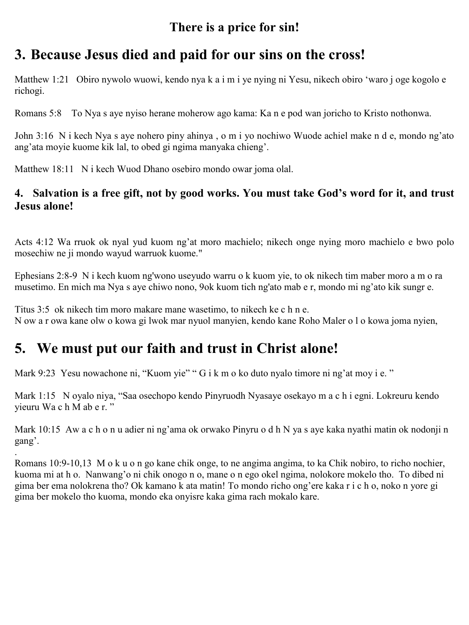#### **There is a price for sin!**

# **3. Because Jesus died and paid for our sins on the cross!**

Matthew 1:21 Obiro nywolo wuowi, kendo nya k a i m i ye nying ni Yesu, nikech obiro 'waro j oge kogolo e richogi.

Romans 5:8 To Nya s aye nyiso herane moherow ago kama: Ka n e pod wan joricho to Kristo nothonwa.

John 3:16 N i kech Nya s aye nohero piny ahinya , o m i yo nochiwo Wuode achiel make n d e, mondo ng'ato ang'ata moyie kuome kik lal, to obed gi ngima manyaka chieng'.

Matthew 18:11 N i kech Wuod Dhano osebiro mondo owar joma olal.

#### **4. Salvation is a free gift, not by good works. You must take God's word for it, and trust Jesus alone!**

Acts 4:12 Wa rruok ok nyal yud kuom ng'at moro machielo; nikech onge nying moro machielo e bwo polo mosechiw ne ji mondo wayud warruok kuome."

Ephesians 2:8-9 N i kech kuom ng'wono useyudo warru o k kuom yie, to ok nikech tim maber moro a m o ra musetimo. En mich ma Nya s aye chiwo nono, 9ok kuom tich ng'ato mab e r, mondo mi ng'ato kik sungr e.

Titus 3:5 ok nikech tim moro makare mane wasetimo, to nikech ke c h n e. N ow a r owa kane olw o kowa gi lwok mar nyuol manyien, kendo kane Roho Maler o l o kowa joma nyien,

# **5. We must put our faith and trust in Christ alone!**

.

Mark 9:23 Yesu nowachone ni, "Kuom yie" " G i k m o ko duto nyalo timore ni ng'at moy i e."

Mark 1:15 N oyalo niya, "Saa osechopo kendo Pinyruodh Nyasaye osekayo m a c h i egni. Lokreuru kendo yieuru Wa c h M ab e r. "

Mark 10:15 Aw a c h o n u adier ni ng'ama ok orwako Pinyru o d h N ya s aye kaka nyathi matin ok nodonji n gang'.

Romans 10:9-10,13 M o k u o n go kane chik onge, to ne angima angima, to ka Chik nobiro, to richo nochier, kuoma mi at h o. Nanwang'o ni chik onogo n o, mane o n ego okel ngima, nolokore mokelo tho. To dibed ni gima ber ema nolokrena tho? Ok kamano k ata matin! To mondo richo ong'ere kaka r i c h o, noko n yore gi gima ber mokelo tho kuoma, mondo eka onyisre kaka gima rach mokalo kare.